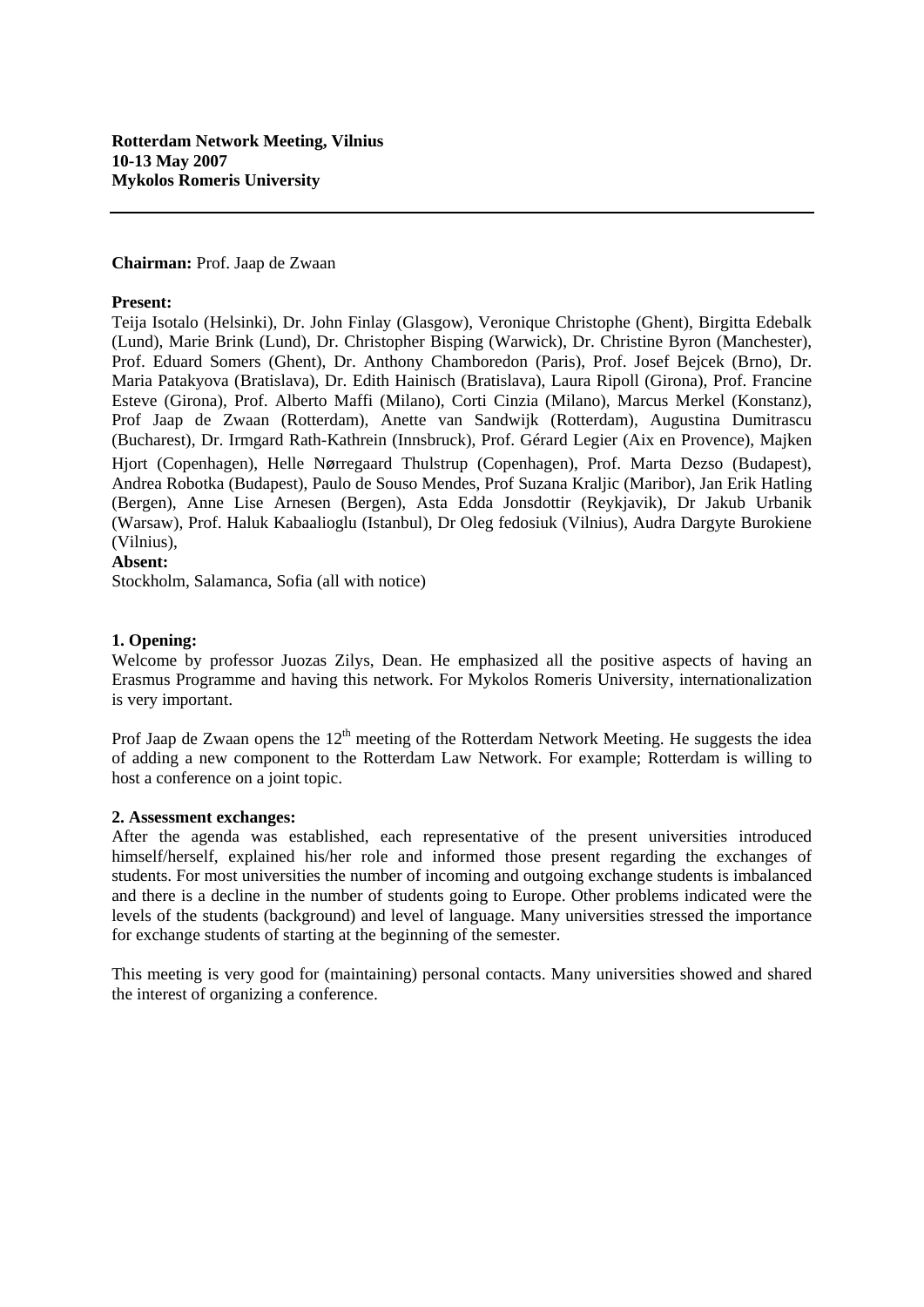# **Chairman:** Prof. Jaap de Zwaan

#### **Present:**

Teija Isotalo (Helsinki), Dr. John Finlay (Glasgow), Veronique Christophe (Ghent), Birgitta Edebalk (Lund), Marie Brink (Lund), Dr. Christopher Bisping (Warwick), Dr. Christine Byron (Manchester), Prof. Eduard Somers (Ghent), Dr. Anthony Chamboredon (Paris), Prof. Josef Bejcek (Brno), Dr. Maria Patakyova (Bratislava), Dr. Edith Hainisch (Bratislava), Laura Ripoll (Girona), Prof. Francine Esteve (Girona), Prof. Alberto Maffi (Milano), Corti Cinzia (Milano), Marcus Merkel (Konstanz), Prof Jaap de Zwaan (Rotterdam), Anette van Sandwijk (Rotterdam), Augustina Dumitrascu (Bucharest), Dr. Irmgard Rath-Kathrein (Innsbruck), Prof. Gérard Legier (Aix en Provence), Majken Hjort (Copenhagen), Helle Nørregaard Thulstrup (Copenhagen), Prof. Marta Dezso (Budapest), Andrea Robotka (Budapest), Paulo de Souso Mendes, Prof Suzana Kraljic (Maribor), Jan Erik Hatling (Bergen), Anne Lise Arnesen (Bergen), Asta Edda Jonsdottir (Reykjavik), Dr Jakub Urbanik (Warsaw), Prof. Haluk Kabaalioglu (Istanbul), Dr Oleg fedosiuk (Vilnius), Audra Dargyte Burokiene (Vilnius),

### **Absent:**

Stockholm, Salamanca, Sofia (all with notice)

### **1. Opening:**

Welcome by professor Juozas Zilys, Dean. He emphasized all the positive aspects of having an Erasmus Programme and having this network. For Mykolos Romeris University, internationalization is very important.

Prof Jaap de Zwaan opens the  $12<sup>th</sup>$  meeting of the Rotterdam Network Meeting. He suggests the idea of adding a new component to the Rotterdam Law Network. For example; Rotterdam is willing to host a conference on a joint topic.

#### **2. Assessment exchanges:**

After the agenda was established, each representative of the present universities introduced himself/herself, explained his/her role and informed those present regarding the exchanges of students. For most universities the number of incoming and outgoing exchange students is imbalanced and there is a decline in the number of students going to Europe. Other problems indicated were the levels of the students (background) and level of language. Many universities stressed the importance for exchange students of starting at the beginning of the semester.

This meeting is very good for (maintaining) personal contacts. Many universities showed and shared the interest of organizing a conference.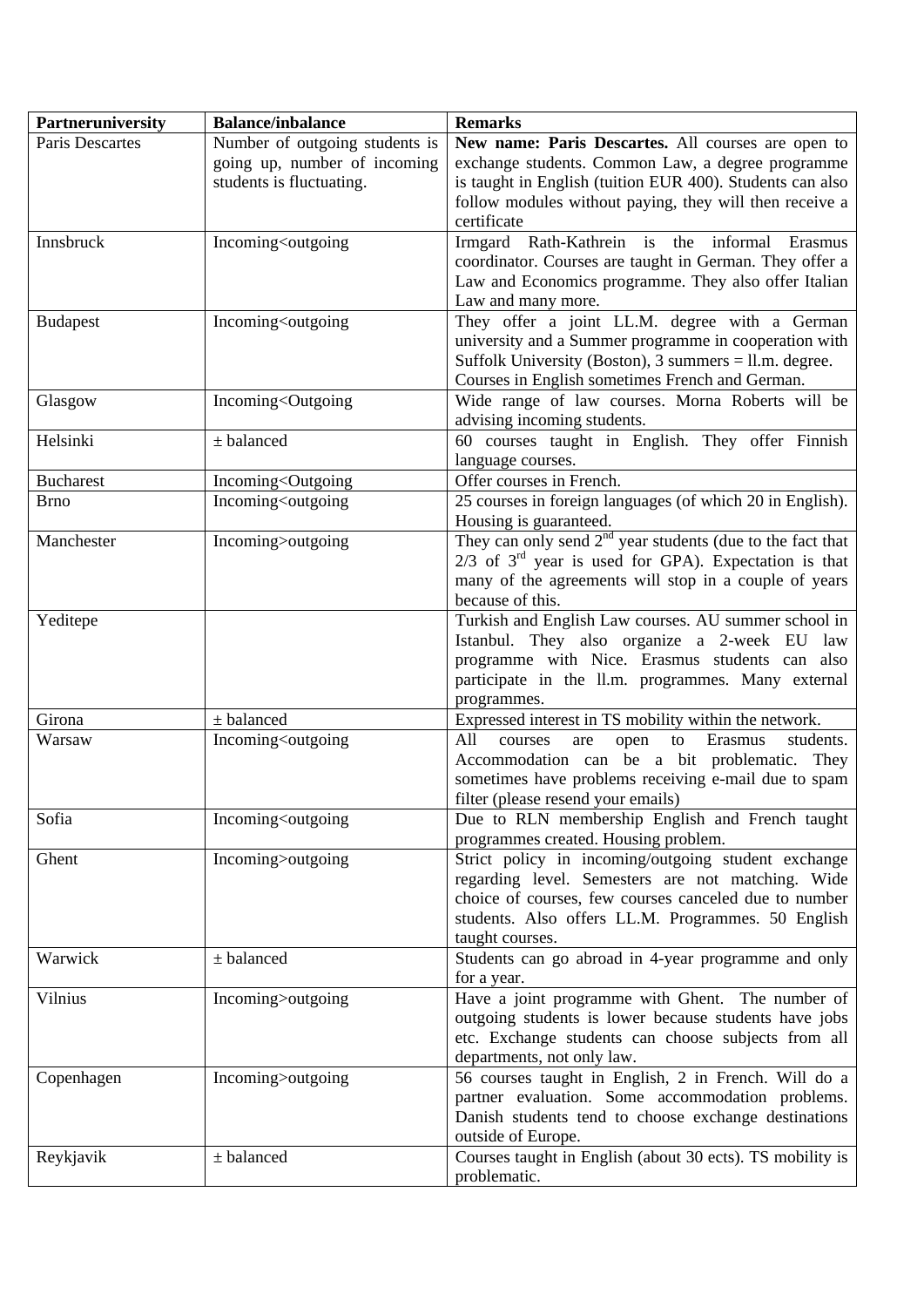| Partneruniversity | <b>Balance/inbalance</b>                                                                                                                                                                                                                                                                           | <b>Remarks</b>                                                                                                                                                                                                                                 |
|-------------------|----------------------------------------------------------------------------------------------------------------------------------------------------------------------------------------------------------------------------------------------------------------------------------------------------|------------------------------------------------------------------------------------------------------------------------------------------------------------------------------------------------------------------------------------------------|
| Paris Descartes   | Number of outgoing students is<br>going up, number of incoming<br>students is fluctuating.                                                                                                                                                                                                         | New name: Paris Descartes. All courses are open to<br>exchange students. Common Law, a degree programme<br>is taught in English (tuition EUR 400). Students can also<br>follow modules without paying, they will then receive a<br>certificate |
| Innsbruck         | Incoming <outgoing< td=""><td>Irmgard Rath-Kathrein is the informal<br/>Erasmus<br/>coordinator. Courses are taught in German. They offer a<br/>Law and Economics programme. They also offer Italian<br/>Law and many more.</td></outgoing<>                                                       | Irmgard Rath-Kathrein is the informal<br>Erasmus<br>coordinator. Courses are taught in German. They offer a<br>Law and Economics programme. They also offer Italian<br>Law and many more.                                                      |
| <b>Budapest</b>   | Incoming <outgoing< td=""><td>They offer a joint LL.M. degree with a German<br/>university and a Summer programme in cooperation with<br/>Suffolk University (Boston), <math>3 \text{ summers} = 11 \text{.m.}</math> degree.<br/>Courses in English sometimes French and German.</td></outgoing<> | They offer a joint LL.M. degree with a German<br>university and a Summer programme in cooperation with<br>Suffolk University (Boston), $3 \text{ summers} = 11 \text{.m.}$ degree.<br>Courses in English sometimes French and German.          |
| Glasgow           | Incoming <outgoing< td=""><td>Wide range of law courses. Morna Roberts will be<br/>advising incoming students.</td></outgoing<>                                                                                                                                                                    | Wide range of law courses. Morna Roberts will be<br>advising incoming students.                                                                                                                                                                |
| Helsinki          | $±$ balanced                                                                                                                                                                                                                                                                                       | 60 courses taught in English. They offer Finnish<br>language courses.                                                                                                                                                                          |
| <b>Bucharest</b>  | Incoming <outgoing< td=""><td>Offer courses in French.</td></outgoing<>                                                                                                                                                                                                                            | Offer courses in French.                                                                                                                                                                                                                       |
| <b>Brno</b>       | Incoming <outgoing< td=""><td>25 courses in foreign languages (of which 20 in English).<br/>Housing is guaranteed.</td></outgoing<>                                                                                                                                                                | 25 courses in foreign languages (of which 20 in English).<br>Housing is guaranteed.                                                                                                                                                            |
| Manchester        | Incoming>outgoing                                                                                                                                                                                                                                                                                  | They can only send $2nd$ year students (due to the fact that<br>$2/3$ of $3rd$ year is used for GPA). Expectation is that<br>many of the agreements will stop in a couple of years<br>because of this.                                         |
| Yeditepe          |                                                                                                                                                                                                                                                                                                    | Turkish and English Law courses. AU summer school in<br>Istanbul. They also organize a 2-week EU law<br>programme with Nice. Erasmus students can also<br>participate in the ll.m. programmes. Many external<br>programmes.                    |
| Girona            | $±$ balanced                                                                                                                                                                                                                                                                                       | Expressed interest in TS mobility within the network.                                                                                                                                                                                          |
| Warsaw            | Incoming <outgoing< td=""><td>Erasmus<br/>students.<br/>All<br/>courses<br/>open<br/>to<br/>are<br/>Accommodation can be a bit problematic. They<br/>sometimes have problems receiving e-mail due to spam<br/>filter (please resend your emails)</td></outgoing<>                                  | Erasmus<br>students.<br>All<br>courses<br>open<br>to<br>are<br>Accommodation can be a bit problematic. They<br>sometimes have problems receiving e-mail due to spam<br>filter (please resend your emails)                                      |
| Sofia             | Incoming <outgoing< td=""><td>Due to RLN membership English and French taught<br/>programmes created. Housing problem.</td></outgoing<>                                                                                                                                                            | Due to RLN membership English and French taught<br>programmes created. Housing problem.                                                                                                                                                        |
| Ghent             | Incoming>outgoing                                                                                                                                                                                                                                                                                  | Strict policy in incoming/outgoing student exchange<br>regarding level. Semesters are not matching. Wide<br>choice of courses, few courses canceled due to number<br>students. Also offers LL.M. Programmes. 50 English<br>taught courses.     |
| Warwick           | $±$ balanced                                                                                                                                                                                                                                                                                       | Students can go abroad in 4-year programme and only<br>for a year.                                                                                                                                                                             |
| Vilnius           | Incoming>outgoing                                                                                                                                                                                                                                                                                  | Have a joint programme with Ghent. The number of<br>outgoing students is lower because students have jobs<br>etc. Exchange students can choose subjects from all<br>departments, not only law.                                                 |
| Copenhagen        | Incoming>outgoing                                                                                                                                                                                                                                                                                  | 56 courses taught in English, 2 in French. Will do a<br>partner evaluation. Some accommodation problems.<br>Danish students tend to choose exchange destinations<br>outside of Europe.                                                         |
| Reykjavik         | $±$ balanced                                                                                                                                                                                                                                                                                       | Courses taught in English (about 30 ects). TS mobility is<br>problematic.                                                                                                                                                                      |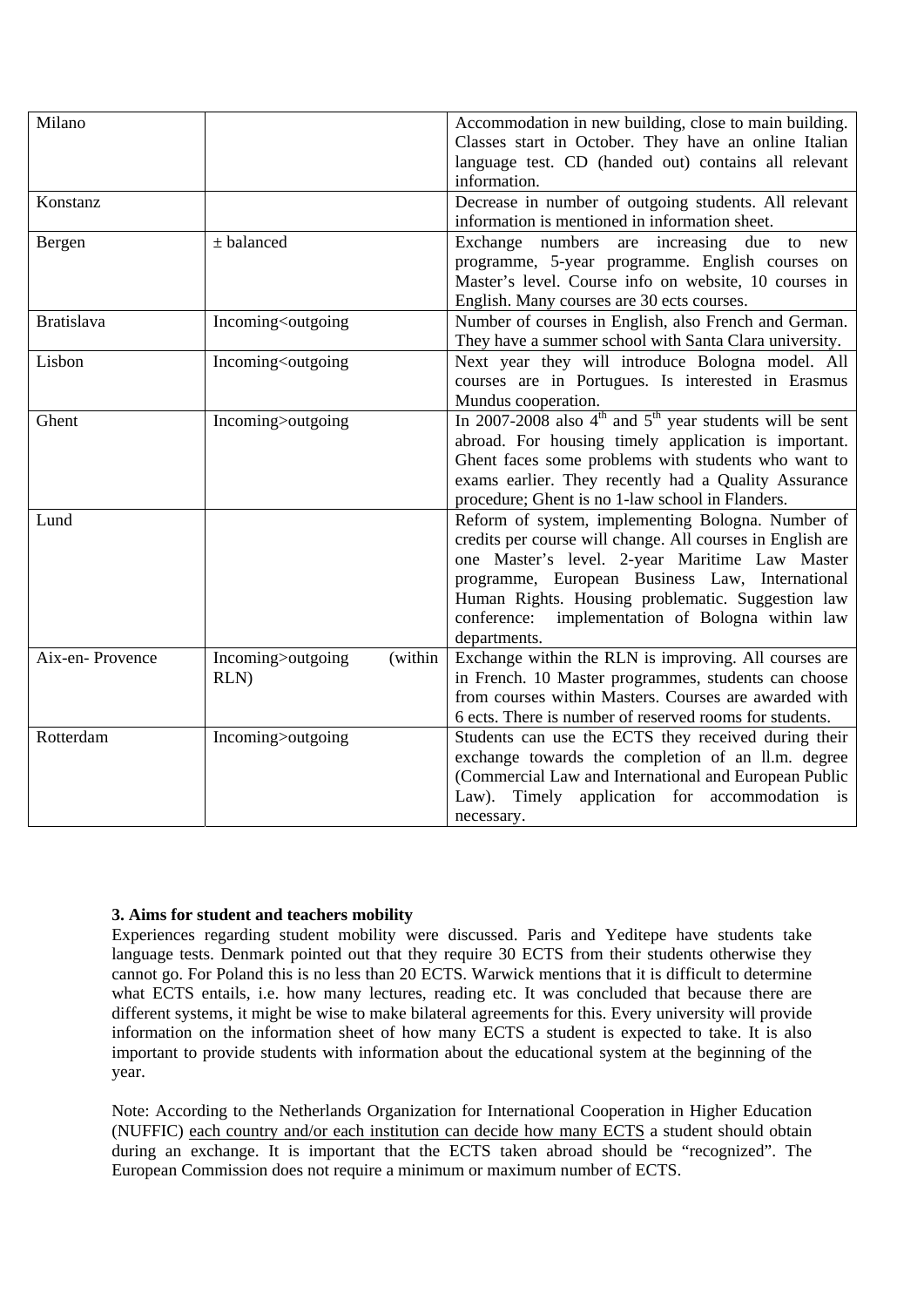| Milano            |                                                                                                                                                                                | Accommodation in new building, close to main building.<br>Classes start in October. They have an online Italian<br>language test. CD (handed out) contains all relevant<br>information.                                                                                                                                                          |
|-------------------|--------------------------------------------------------------------------------------------------------------------------------------------------------------------------------|--------------------------------------------------------------------------------------------------------------------------------------------------------------------------------------------------------------------------------------------------------------------------------------------------------------------------------------------------|
| Konstanz          |                                                                                                                                                                                | Decrease in number of outgoing students. All relevant<br>information is mentioned in information sheet.                                                                                                                                                                                                                                          |
| Bergen            | $±$ balanced                                                                                                                                                                   | Exchange numbers are increasing due to<br>new<br>programme, 5-year programme. English courses on<br>Master's level. Course info on website, 10 courses in<br>English. Many courses are 30 ects courses.                                                                                                                                          |
| <b>Bratislava</b> | Incoming <outgoing< td=""><td>Number of courses in English, also French and German.<br/>They have a summer school with Santa Clara university.</td></outgoing<>                | Number of courses in English, also French and German.<br>They have a summer school with Santa Clara university.                                                                                                                                                                                                                                  |
| Lisbon            | Incoming <outgoing< td=""><td>Next year they will introduce Bologna model. All<br/>courses are in Portugues. Is interested in Erasmus<br/>Mundus cooperation.</td></outgoing<> | Next year they will introduce Bologna model. All<br>courses are in Portugues. Is interested in Erasmus<br>Mundus cooperation.                                                                                                                                                                                                                    |
| Ghent             | Incoming>outgoing                                                                                                                                                              | In 2007-2008 also $4th$ and $5th$ year students will be sent<br>abroad. For housing timely application is important.<br>Ghent faces some problems with students who want to<br>exams earlier. They recently had a Quality Assurance<br>procedure; Ghent is no 1-law school in Flanders.                                                          |
| Lund              |                                                                                                                                                                                | Reform of system, implementing Bologna. Number of<br>credits per course will change. All courses in English are<br>one Master's level. 2-year Maritime Law Master<br>programme, European Business Law, International<br>Human Rights. Housing problematic. Suggestion law<br>implementation of Bologna within law<br>conference:<br>departments. |
| Aix-en-Provence   | (within<br>Incoming>outgoing<br>RLN)                                                                                                                                           | Exchange within the RLN is improving. All courses are<br>in French. 10 Master programmes, students can choose<br>from courses within Masters. Courses are awarded with<br>6 ects. There is number of reserved rooms for students.                                                                                                                |
| Rotterdam         | Incoming>outgoing                                                                                                                                                              | Students can use the ECTS they received during their<br>exchange towards the completion of an ll.m. degree<br>(Commercial Law and International and European Public<br>Law). Timely application for accommodation is<br>necessary.                                                                                                               |

# **3. Aims for student and teachers mobility**

Experiences regarding student mobility were discussed. Paris and Yeditepe have students take language tests. Denmark pointed out that they require 30 ECTS from their students otherwise they cannot go. For Poland this is no less than 20 ECTS. Warwick mentions that it is difficult to determine what ECTS entails, i.e. how many lectures, reading etc. It was concluded that because there are different systems, it might be wise to make bilateral agreements for this. Every university will provide information on the information sheet of how many ECTS a student is expected to take. It is also important to provide students with information about the educational system at the beginning of the year.

Note: According to the Netherlands Organization for International Cooperation in Higher Education (NUFFIC) each country and/or each institution can decide how many ECTS a student should obtain during an exchange. It is important that the ECTS taken abroad should be "recognized". The European Commission does not require a minimum or maximum number of ECTS.